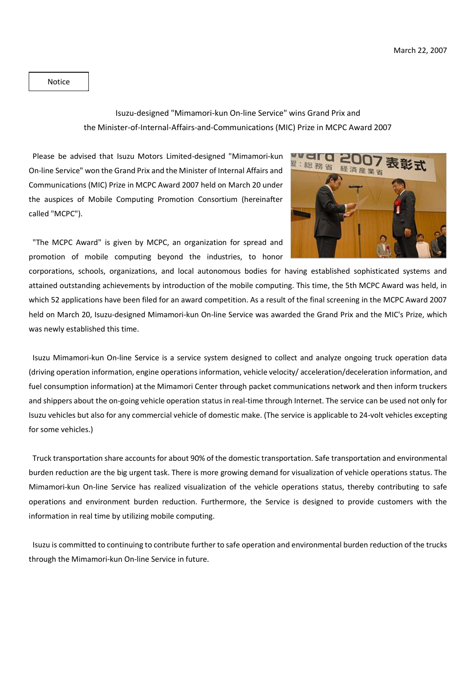Notice

## Isuzu-designed "Mimamori-kun On-line Service" wins Grand Prix and the Minister-of-Internal-Affairs-and-Communications (MIC) Prize in MCPC Award 2007

Please be advised that Isuzu Motors Limited-designed "Mimamori-kun On-line Service" won the Grand Prix and the Minister of Internal Affairs and Communications (MIC) Prize in MCPC Award 2007 held on March 20 under the auspices of Mobile Computing Promotion Consortium (hereinafter called "MCPC").



"The MCPC Award" is given by MCPC, an organization for spread and promotion of mobile computing beyond the industries, to honor

corporations, schools, organizations, and local autonomous bodies for having established sophisticated systems and attained outstanding achievements by introduction of the mobile computing. This time, the 5th MCPC Award was held, in which 52 applications have been filed for an award competition. As a result of the final screening in the MCPC Award 2007 held on March 20, Isuzu-designed Mimamori-kun On-line Service was awarded the Grand Prix and the MIC's Prize, which was newly established this time.

Isuzu Mimamori-kun On-line Service is a service system designed to collect and analyze ongoing truck operation data (driving operation information, engine operations information, vehicle velocity/ acceleration/deceleration information, and fuel consumption information) at the Mimamori Center through packet communications network and then inform truckers and shippers about the on-going vehicle operation statusin real-time through Internet. The service can be used not only for Isuzu vehicles but also for any commercial vehicle of domestic make. (The service is applicable to 24-volt vehicles excepting for some vehicles.)

Truck transportation share accounts for about 90% of the domestic transportation. Safe transportation and environmental burden reduction are the big urgent task. There is more growing demand for visualization of vehicle operations status. The Mimamori-kun On-line Service has realized visualization of the vehicle operations status, thereby contributing to safe operations and environment burden reduction. Furthermore, the Service is designed to provide customers with the information in real time by utilizing mobile computing.

Isuzu is committed to continuing to contribute further to safe operation and environmental burden reduction of the trucks through the Mimamori-kun On-line Service in future.